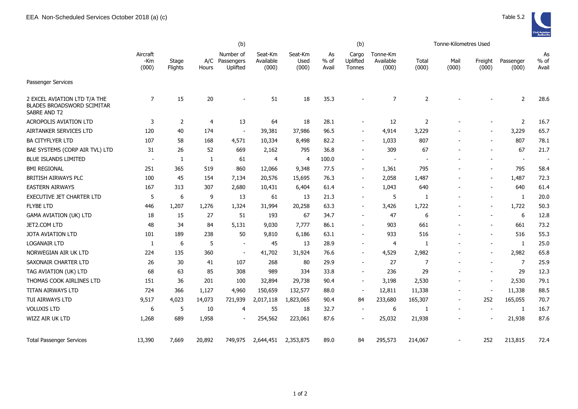

|                                                                            | (b)                      |                  |                |                                         |                               |                          |                       | (b)                         |                                |                | Tonne-Kilometres Used    |                          |                          |                          |
|----------------------------------------------------------------------------|--------------------------|------------------|----------------|-----------------------------------------|-------------------------------|--------------------------|-----------------------|-----------------------------|--------------------------------|----------------|--------------------------|--------------------------|--------------------------|--------------------------|
|                                                                            | Aircraft<br>-Km<br>(000) | Stage<br>Flights | Hours          | Number of<br>A/C Passengers<br>Uplifted | Seat-Km<br>Available<br>(000) | Seat-Km<br>Used<br>(000) | As<br>$%$ of<br>Avail | Cargo<br>Uplifted<br>Tonnes | Tonne-Km<br>Available<br>(000) | Total<br>(000) | Mail<br>(000)            | Freight<br>(000)         | Passenger<br>(000)       | As<br>$%$ of<br>Avail    |
| Passenger Services                                                         |                          |                  |                |                                         |                               |                          |                       |                             |                                |                |                          |                          |                          |                          |
| 2 EXCEL AVIATION LTD T/A THE<br>BLADES BROADSWORD SCIMITAR<br>SABRE AND T2 | 7                        | 15               | 20             | $\blacksquare$                          | 51                            | 18                       | 35.3                  |                             | 7                              | 2              |                          |                          | 2                        | 28.6                     |
| <b>ACROPOLIS AVIATION LTD</b>                                              | 3                        | 2                | $\overline{4}$ | 13                                      | 64                            | 18                       | 28.1                  |                             | 12                             | $\overline{2}$ |                          |                          | 2                        | 16.7                     |
| AIRTANKER SERVICES LTD                                                     | 120                      | 40               | 174            | $\overline{\phantom{a}}$                | 39,381                        | 37,986                   | 96.5                  |                             | 4,914                          | 3,229          |                          |                          | 3,229                    | 65.7                     |
| <b>BA CITYFLYER LTD</b>                                                    | 107                      | 58               | 168            | 4,571                                   | 10,334                        | 8,498                    | 82.2                  |                             | 1,033                          | 807            |                          |                          | 807                      | 78.1                     |
| BAE SYSTEMS (CORP AIR TVL) LTD                                             | 31                       | 26               | 52             | 669                                     | 2,162                         | 795                      | 36.8                  | $\overline{\phantom{a}}$    | 309                            | 67             |                          |                          | 67                       | 21.7                     |
| <b>BLUE ISLANDS LIMITED</b>                                                |                          | 1                | 1              | 61                                      | $\overline{4}$                | 4                        | 100.0                 |                             |                                |                |                          |                          | $\overline{\phantom{a}}$ | $\overline{\phantom{a}}$ |
| <b>BMI REGIONAL</b>                                                        | 251                      | 365              | 519            | 860                                     | 12,066                        | 9,348                    | 77.5                  | $\overline{\phantom{a}}$    | 1,361                          | 795            |                          |                          | 795                      | 58.4                     |
| BRITISH AIRWAYS PLC                                                        | 100                      | 45               | 154            | 7,134                                   | 20,576                        | 15,695                   | 76.3                  |                             | 2,058                          | 1,487          |                          | $\overline{\phantom{a}}$ | 1,487                    | 72.3                     |
| <b>EASTERN AIRWAYS</b>                                                     | 167                      | 313              | 307            | 2,680                                   | 10,431                        | 6,404                    | 61.4                  |                             | 1,043                          | 640            |                          |                          | 640                      | 61.4                     |
| EXECUTIVE JET CHARTER LTD                                                  | 5                        | 6                | 9              | 13                                      | 61                            | 13                       | 21.3                  | $\overline{\phantom{a}}$    | 5                              | 1              |                          | $\blacksquare$           | 1                        | 20.0                     |
| <b>FLYBE LTD</b>                                                           | 446                      | 1,207            | 1,276          | 1,324                                   | 31,994                        | 20,258                   | 63.3                  |                             | 3,426                          | 1,722          |                          | $\overline{\phantom{a}}$ | 1,722                    | 50.3                     |
| <b>GAMA AVIATION (UK) LTD</b>                                              | 18                       | 15               | 27             | 51                                      | 193                           | 67                       | 34.7                  |                             | 47                             | 6              |                          |                          | 6                        | 12.8                     |
| JET2.COM LTD                                                               | 48                       | 34               | 84             | 5,131                                   | 9,030                         | 7,777                    | 86.1                  |                             | 903                            | 661            |                          |                          | 661                      | 73.2                     |
| JOTA AVIATION LTD                                                          | 101                      | 189              | 238            | 50                                      | 9,810                         | 6,186                    | 63.1                  |                             | 933                            | 516            |                          |                          | 516                      | 55.3                     |
| <b>LOGANAIR LTD</b>                                                        | -1                       | 6                | 5              | $\overline{\phantom{a}}$                | 45                            | 13                       | 28.9                  | $\overline{\phantom{a}}$    | 4                              | -1             |                          | $\overline{\phantom{a}}$ | 1                        | 25.0                     |
| NORWEGIAN AIR UK LTD                                                       | 224                      | 135              | 360            | $\overline{\phantom{a}}$                | 41,702                        | 31,924                   | 76.6                  | $\overline{\phantom{a}}$    | 4,529                          | 2,982          |                          | $\overline{\phantom{a}}$ | 2,982                    | 65.8                     |
| SAXONAIR CHARTER LTD                                                       | 26                       | 30               | 41             | 107                                     | 268                           | 80                       | 29.9                  |                             | 27                             | 7              |                          |                          | 7                        | 25.9                     |
| TAG AVIATION (UK) LTD                                                      | 68                       | 63               | 85             | 308                                     | 989                           | 334                      | 33.8                  |                             | 236                            | 29             |                          | $\overline{\phantom{a}}$ | 29                       | 12.3                     |
| THOMAS COOK AIRLINES LTD                                                   | 151                      | 36               | 201            | 100                                     | 32,894                        | 29,738                   | 90.4                  | $\overline{\phantom{a}}$    | 3,198                          | 2,530          |                          |                          | 2,530                    | 79.1                     |
| <b>TITAN AIRWAYS LTD</b>                                                   | 724                      | 366              | 1,127          | 4,960                                   | 150,659                       | 132,577                  | 88.0                  | $\blacksquare$              | 12,811                         | 11,338         | $\overline{a}$           | $\blacksquare$           | 11,338                   | 88.5                     |
| TUI AIRWAYS LTD                                                            | 9,517                    | 4,023            | 14,073         | 721,939                                 | 2,017,118                     | 1,823,065                | 90.4                  | 84                          | 233,680                        | 165,307        | $\overline{\phantom{a}}$ | 252                      | 165,055                  | 70.7                     |
| <b>VOLUXIS LTD</b>                                                         | 6                        | 5                | 10             | $\overline{4}$                          | 55                            | 18                       | 32.7                  |                             | 6                              | -1             |                          |                          | 1                        | 16.7                     |
| WIZZ AIR UK LTD                                                            | 1,268                    | 689              | 1,958          | $\blacksquare$                          | 254,562                       | 223,061                  | 87.6                  |                             | 25,032                         | 21,938         |                          |                          | 21,938                   | 87.6                     |
| <b>Total Passenger Services</b>                                            | 13,390                   | 7,669            | 20,892         | 749,975                                 | 2,644,451                     | 2,353,875                | 89.0                  | 84                          | 295,573                        | 214,067        | $\overline{a}$           | 252                      | 213,815                  | 72.4                     |